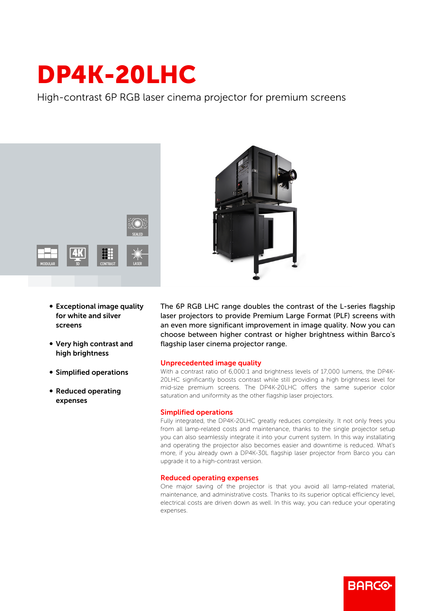# DP4K-20LHC

High-contrast 6P RGB laser cinema projector for premium screens



- Exceptional image quality for white and silver screens
- Very high contrast and high brightness
- Simplified operations
- Reduced operating expenses



## Unprecedented image quality

With a contrast ratio of 6,000:1 and brightness levels of 17,000 lumens, the DP4K-20LHC significantly boosts contrast while still providing a high brightness level for mid-size premium screens. The DP4K-20LHC offers the same superior color saturation and uniformity as the other flagship laser projectors.

#### Simplified operations

Fully integrated, the DP4K-20LHC greatly reduces complexity. It not only frees you from all lamp-related costs and maintenance, thanks to the single projector setup you can also seamlessly integrate it into your current system. In this way installating and operating the projector also becomes easier and downtime is reduced. What's more, if you already own a DP4K-30L flagship laser projector from Barco you can upgrade it to a high-contrast version.

#### Reduced operating expenses

One major saving of the projector is that you avoid all lamp-related material, maintenance, and administrative costs. Thanks to its superior optical efficiency level, electrical costs are driven down as well. In this way, you can reduce your operating expenses.